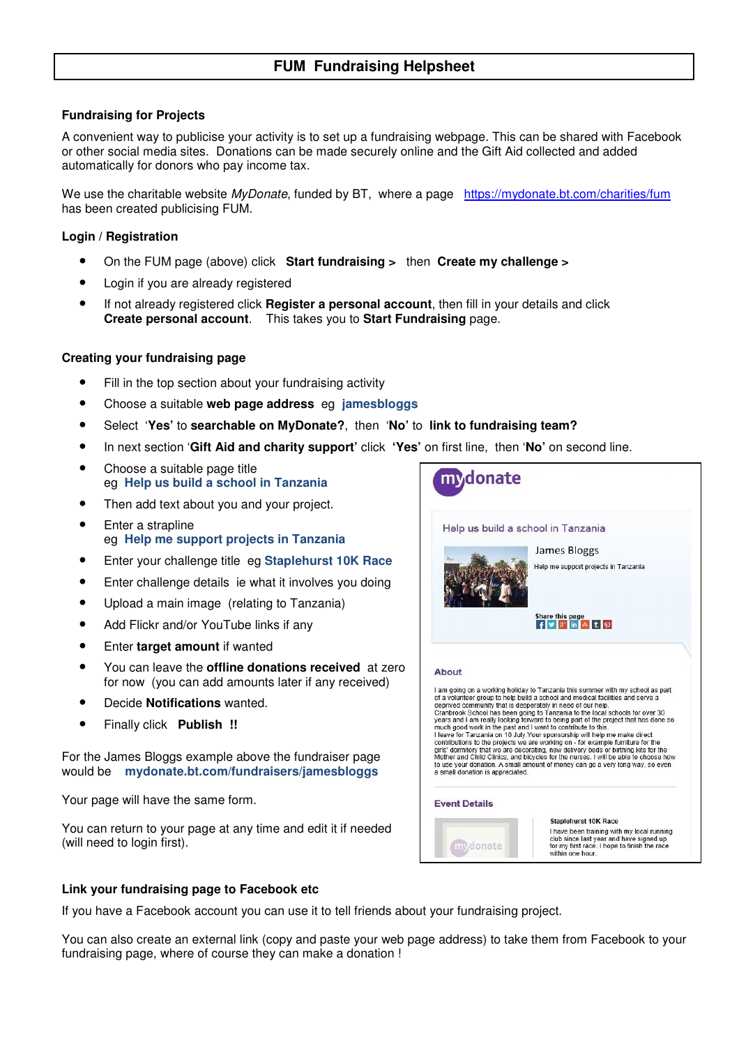# **FUM Fundraising Helpsheet**

### **Fundraising for Projects**

A convenient way to publicise your activity is to set up a fundraising webpage. This can be shared with Facebook or other social media sites. Donations can be made securely online and the Gift Aid collected and added automatically for donors who pay income tax.

We use the charitable website *MyDonate*, funded by BT, where a page https://mydonate.bt.com/charities/fum has been created publicising FUM.

#### **Login / Registration**

- On the FUM page (above) click **Start fundraising >** then **Create my challenge >**
- Login if you are already registered
- If not already registered click **Register a personal account**, then fill in your details and click **Create personal account**. This takes you to **Start Fundraising** page.

#### **Creating your fundraising page**

- Fill in the top section about your fundraising activity
- Choose a suitable **web page address** eg **jamesbloggs**
- Select '**Yes'** to **searchable on MyDonate?**, then '**No'** to **link to fundraising team?**
- In next section '**Gift Aid and charity support'** click **'Yes'** on first line, then '**No'** on second line.
- Choose a suitable page title eg **Help us build a school in Tanzania**
- Then add text about you and your project.
- Enter a strapline eg **Help me support projects in Tanzania**
- Enter your challenge title eg **Staplehurst 10K Race**
- Enter challenge details ie what it involves you doing
- Upload a main image (relating to Tanzania)
- Add Flickr and/or YouTube links if any
- Enter **target amount** if wanted
- You can leave the **offline donations received** at zero for now (you can add amounts later if any received)
- Decide **Notifications** wanted.
- Finally click **Publish !!**

For the James Bloggs example above the fundraiser page would be **mydonate.bt.com/fundraisers/jamesbloggs** 

Your page will have the same form.

You can return to your page at any time and edit it if needed (will need to login first).



#### **Link your fundraising page to Facebook etc**

If you have a Facebook account you can use it to tell friends about your fundraising project.

You can also create an external link (copy and paste your web page address) to take them from Facebook to your fundraising page, where of course they can make a donation !